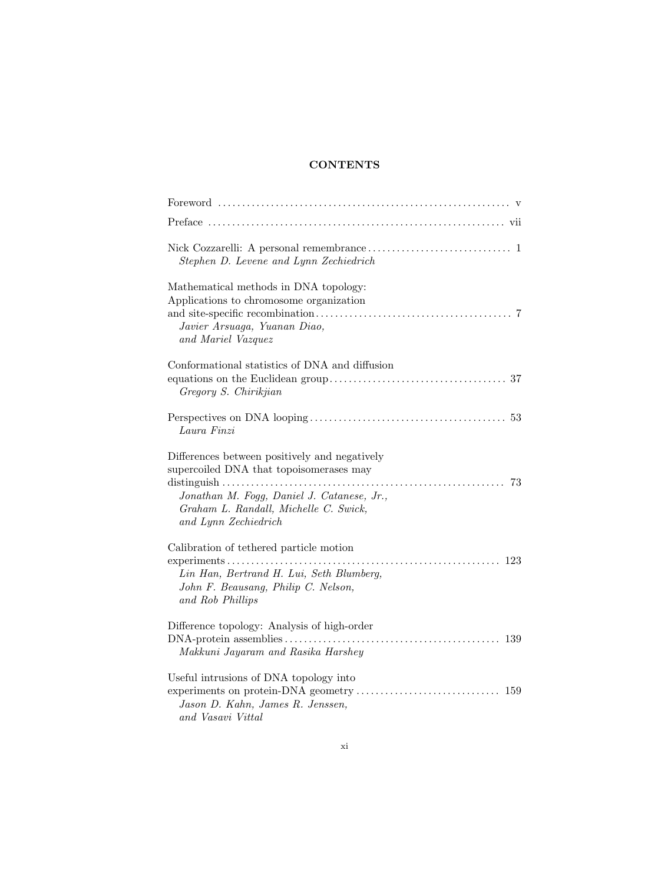## **CONTENTS**

| Stephen D. Levene and Lynn Zechiedrich                                                                                                                                                                        |
|---------------------------------------------------------------------------------------------------------------------------------------------------------------------------------------------------------------|
| Mathematical methods in DNA topology:<br>Applications to chromosome organization<br>Javier Arsuaga, Yuanan Diao,<br>and Mariel Vazquez                                                                        |
| Conformational statistics of DNA and diffusion<br>Gregory S. Chirikjian                                                                                                                                       |
| Laura Finzi                                                                                                                                                                                                   |
| Differences between positively and negatively<br>supercoiled DNA that topoisomerases may<br>73<br>Jonathan M. Fogg, Daniel J. Catanese, Jr.,<br>Graham L. Randall, Michelle C. Swick,<br>and Lynn Zechiedrich |
| Calibration of tethered particle motion<br>Lin Han, Bertrand H. Lui, Seth Blumberg,<br>John F. Beausang, Philip C. Nelson,<br>and Rob Phillips                                                                |
| Difference topology: Analysis of high-order<br>Makkuni Jayaram and Rasika Harshey                                                                                                                             |
| Useful intrusions of DNA topology into<br>Jason D. Kahn, James R. Jenssen,<br>and Vasavi Vittal                                                                                                               |